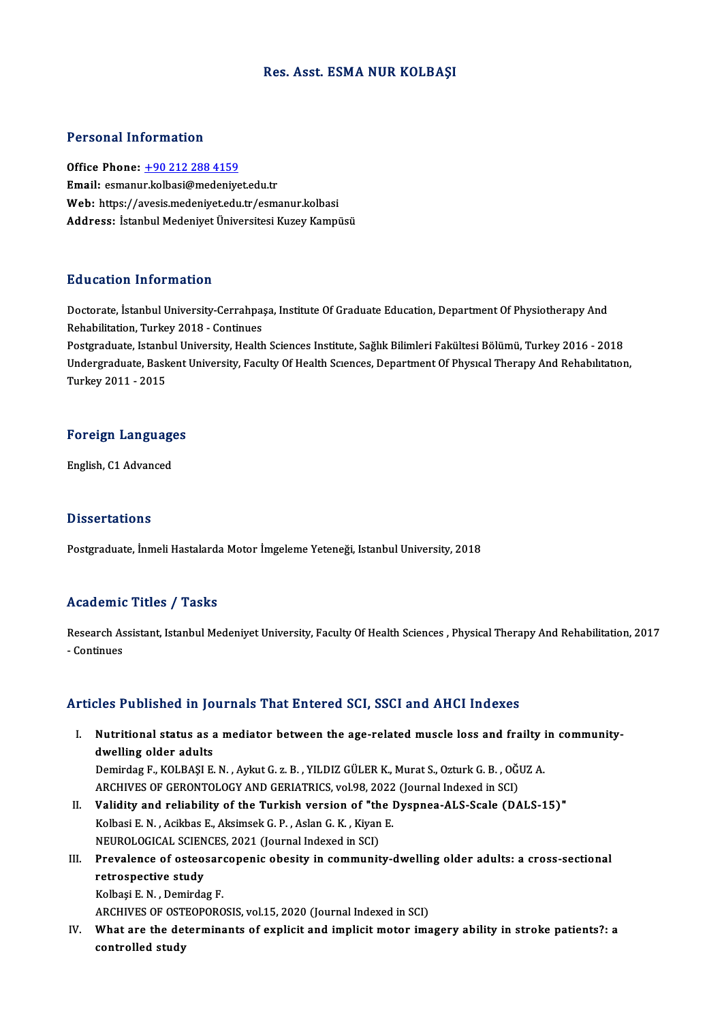### Res. Asst. ESMA NUR KOLBAŞI

### Personal Information

Office Phone: +90 212 288 4159 Email: esmanu[r.kolbasi@medeniye](tel:+90 212 288 4159)t.edu.tr Office Phone: <u>+90 212 288 4159</u><br>Email: esmanur.kolbasi@medeniyet.edu.tr<br>Web: https://avesis.medeniyet.edu.tr/esmanur.kolbasi<br>Address: Istanbul Medeniyet.<sup>i</sup>lniyersitesi.Kurey.Kampi **Email:** esmanur.kolbasi@medeniyet.edu.tr<br>Web: https://avesis.medeniyet.edu.tr/esmanur.kolbasi<br>Address: İstanbul Medeniyet Üniversitesi Kuzey Kampüsü

### Education Information

Education Information<br>Doctorate, İstanbul University-Cerrahpaşa, Institute Of Graduate Education, Department Of Physiotherapy And<br>Rehabilitation Turkey 2018, Continues Rehabilitation, Turkey Macron<br>Rehabilitation, Turkey 2018 - Continues<br>Rehabilitation, Turkey 2018 - Continues Doctorate, İstanbul University-Cerrahpaşa, Institute Of Graduate Education, Department Of Physiotherapy And<br>Rehabilitation, Turkey 2018 - Continues<br>Postgraduate, Istanbul University, Health Sciences Institute, Sağlık Bilim

Rehabilitation, Turkey 2018 - Continues<br>Postgraduate, Istanbul University, Health Sciences Institute, Sağlık Bilimleri Fakültesi Bölümü, Turkey 2016 - 2018<br>Undergraduate, Baskent University, Faculty Of Health Sciences, Dep Postgraduate, Istanb<br>Undergraduate, Bask<br>Turkey 2011 - 2015

## Turkey 2011 - 2015<br>Foreign Languages <mark>Foreign Languag</mark><br>English, C1 Advanced

English, C1 Advanced<br>Dissertations

Postgraduate, İnmeli Hastalarda Motor İmgeleme Yeteneği, Istanbul University, 2018

### Academic Titles / Tasks

Academic Titles / Tasks<br>Research Assistant, Istanbul Medeniyet University, Faculty Of Health Sciences , Physical Therapy And Rehabilitation, 2017 Research As<br>- Continues

# Articles Published in Journals That Entered SCI, SSCI and AHCI Indexes

rticles Published in Journals That Entered SCI, SSCI and AHCI Indexes<br>I. Nutritional status as a mediator between the age-related muscle loss and frailty in community-<br>dwelling alder adults Nutritional status as a<br>dwelling older adults<br>Domindog E, KOLBASLE Nutritional status as a mediator between the age-related muscle loss and frailty i<br>dwelling older adults<br>Demirdag F., KOLBAŞI E. N. , Aykut G. z. B. , YILDIZ GÜLER K., Murat S., Ozturk G. B. , OĞUZ A.<br>ARCHIVES OF CERONTOLO

dwelling older adults<br>Demirdag F., KOLBAŞI E. N. , Aykut G. z. B. , YILDIZ GÜLER K., Murat S., Ozturk G. B. , OĞI<br>ARCHIVES OF GERONTOLOGY AND GERIATRICS, vol.98, 2022 (Journal Indexed in SCI)<br>Volidity and reliability of th Demirdag F., KOLBAŞI E. N. , Aykut G. z. B. , YILDIZ GÜLER K., Murat S., Ozturk G. B. , OĞUZ A.<br>ARCHIVES OF GERONTOLOGY AND GERIATRICS, vol.98, 2022 (Journal Indexed in SCI)<br>II. **Validity and reliability of the Turkish ver** 

ARCHIVES OF GERONTOLOGY AND GERIATRICS, vol.98, 2022<br>**Validity and reliability of the Turkish version of "the l**<br>Kolbasi E. N. , Acikbas E., Aksimsek G. P. , Aslan G. K. , Kiyan E.<br>NEUPOLOGICAL SCIENCES 2021 (Journal Indov Validity and reliability of the Turkish version of "th<br>Kolbasi E. N. , Acikbas E., Aksimsek G. P. , Aslan G. K. , Kiyan<br>NEUROLOGICAL SCIENCES, 2021 (Journal Indexed in SCI)<br>Prevelence of estecessesenenis obesity in communi Kolbasi E. N. , Acikbas E., Aksimsek G. P. , Aslan G. K. , Kiyan E.<br>NEUROLOGICAL SCIENCES, 2021 (Journal Indexed in SCI)<br>III. Prevalence of osteosarcopenic obesity in community-dwelling older adults: a cross-sectional<br>natr

### NEUROLOGICAL SCIEN<br>Prevalence of osteo:<br>retrospective study<br>Kolbesi E.N., Domindo Prevalence of osteosare<br>retrospective study<br>Kolbaşi E. N. , Demirdag F.<br>ARCHIVES OF OSTEORORO retrospective study<br>Kolbaşi E. N. , Demirdag F.<br>ARCHIVES OF OSTEOPOROSIS, vol.15, 2020 (Journal Indexed in SCI)

IV. What are the determinants of explicit and implicit motor imagery ability in stroke patients?: a controlled study